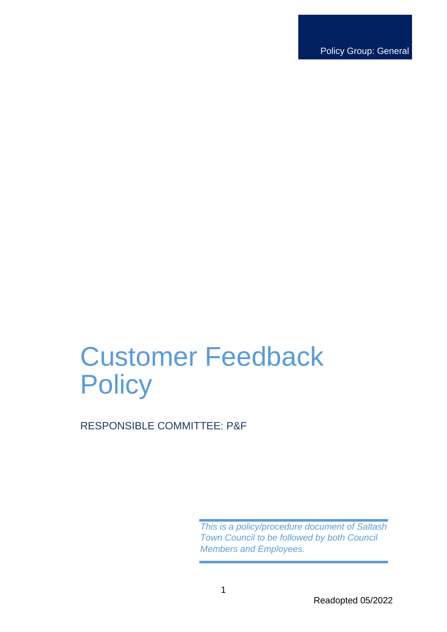Policy Group: General

# Customer Feedback **Policy**

RESPONSIBLE COMMITTEE: P&F

*This is a policy/procedure document of Saltash Town Council to be followed by both Council Members and Employees.*

Readopted 05/2022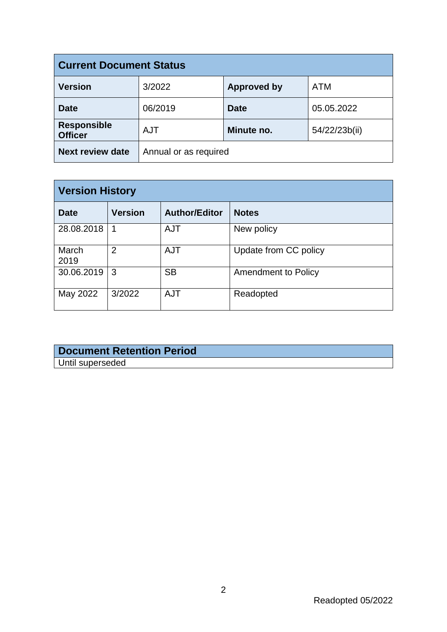| <b>Current Document Status</b>       |                       |                    |               |  |
|--------------------------------------|-----------------------|--------------------|---------------|--|
| <b>Version</b>                       | 3/2022                | <b>Approved by</b> | <b>ATM</b>    |  |
| <b>Date</b>                          | 06/2019               | <b>Date</b>        | 05.05.2022    |  |
| <b>Responsible</b><br><b>Officer</b> | <b>AJT</b>            | Minute no.         | 54/22/23b(ii) |  |
| <b>Next review date</b>              | Annual or as required |                    |               |  |

| <b>Version History</b> |                |                      |                       |  |
|------------------------|----------------|----------------------|-----------------------|--|
| <b>Date</b>            | <b>Version</b> | <b>Author/Editor</b> | <b>Notes</b>          |  |
| 28.08.2018             | 1              | <b>AJT</b>           | New policy            |  |
| March<br>2019          | $\overline{2}$ | <b>AJT</b>           | Update from CC policy |  |
| 30.06.2019             | 3              | <b>SB</b>            | Amendment to Policy   |  |
| May 2022               | 3/2022         | <b>AJT</b>           | Readopted             |  |

# **Document Retention Period** Until superseded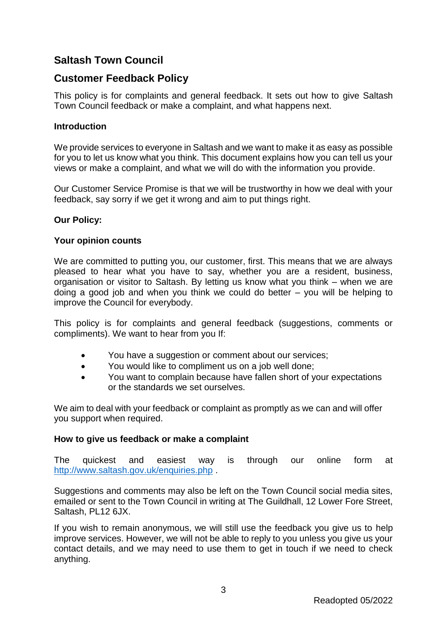# **Saltash Town Council**

# **Customer Feedback Policy**

This policy is for complaints and general feedback. It sets out how to give Saltash Town Council feedback or make a complaint, and what happens next.

# **Introduction**

We provide services to everyone in Saltash and we want to make it as easy as possible for you to let us know what you think. This document explains how you can tell us your views or make a complaint, and what we will do with the information you provide.

Our Customer Service Promise is that we will be trustworthy in how we deal with your feedback, say sorry if we get it wrong and aim to put things right.

## **Our Policy:**

#### **Your opinion counts**

We are committed to putting you, our customer, first. This means that we are always pleased to hear what you have to say, whether you are a resident, business, organisation or visitor to Saltash. By letting us know what you think – when we are doing a good job and when you think we could do better – you will be helping to improve the Council for everybody.

This policy is for complaints and general feedback (suggestions, comments or compliments). We want to hear from you If:

- You have a suggestion or comment about our services;
- You would like to compliment us on a job well done;
- You want to complain because have fallen short of your expectations or the standards we set ourselves.

We aim to deal with your feedback or complaint as promptly as we can and will offer you support when required.

#### **How to give us feedback or make a complaint**

The quickest and easiest way is through our online form at <http://www.saltash.gov.uk/enquiries.php> .

Suggestions and comments may also be left on the Town Council social media sites, emailed or sent to the Town Council in writing at The Guildhall, 12 Lower Fore Street, Saltash, PL12 6JX.

If you wish to remain anonymous, we will still use the feedback you give us to help improve services. However, we will not be able to reply to you unless you give us your contact details, and we may need to use them to get in touch if we need to check anything.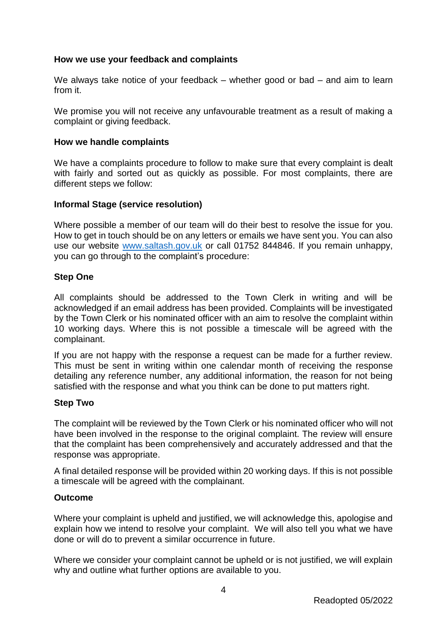## **How we use your feedback and complaints**

We always take notice of your feedback – whether good or bad – and aim to learn from it.

We promise you will not receive any unfavourable treatment as a result of making a complaint or giving feedback.

#### **How we handle complaints**

We have a complaints procedure to follow to make sure that every complaint is dealt with fairly and sorted out as quickly as possible. For most complaints, there are different steps we follow:

#### **Informal Stage (service resolution)**

Where possible a member of our team will do their best to resolve the issue for you. How to get in touch should be on any letters or emails we have sent you. You can also use our website [www.saltash.gov.uk](http://www.saltash.gov.uk/) or call 01752 844846. If you remain unhappy, you can go through to the complaint's procedure:

#### **Step One**

All complaints should be addressed to the Town Clerk in writing and will be acknowledged if an email address has been provided. Complaints will be investigated by the Town Clerk or his nominated officer with an aim to resolve the complaint within 10 working days. Where this is not possible a timescale will be agreed with the complainant.

If you are not happy with the response a request can be made for a further review. This must be sent in writing within one calendar month of receiving the response detailing any reference number, any additional information, the reason for not being satisfied with the response and what you think can be done to put matters right.

#### **Step Two**

The complaint will be reviewed by the Town Clerk or his nominated officer who will not have been involved in the response to the original complaint. The review will ensure that the complaint has been comprehensively and accurately addressed and that the response was appropriate.

A final detailed response will be provided within 20 working days. If this is not possible a timescale will be agreed with the complainant.

#### **Outcome**

Where your complaint is upheld and justified, we will acknowledge this, apologise and explain how we intend to resolve your complaint. We will also tell you what we have done or will do to prevent a similar occurrence in future.

Where we consider your complaint cannot be upheld or is not justified, we will explain why and outline what further options are available to you.